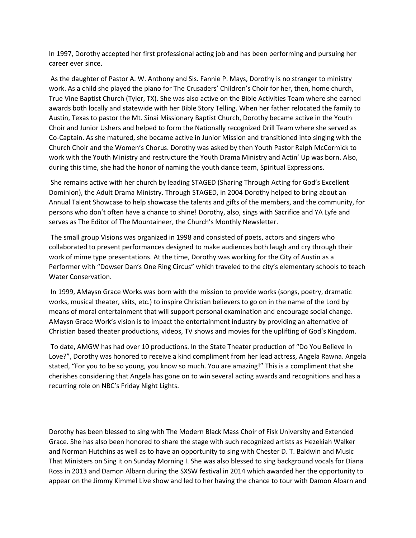In 1997, Dorothy accepted her first professional acting job and has been performing and pursuing her career ever since.

As the daughter of Pastor A. W. Anthony and Sis. Fannie P. Mays, Dorothy is no stranger to ministry work. As a child she played the piano for The Crusaders' Children's Choir for her, then, home church, True Vine Baptist Church (Tyler, TX). She was also active on the Bible Activities Team where she earned awards both locally and statewide with her Bible Story Telling. When her father relocated the family to Austin, Texas to pastor the Mt. Sinai Missionary Baptist Church, Dorothy became active in the Youth Choir and Junior Ushers and helped to form the Nationally recognized Drill Team where she served as Co-Captain. As she matured, she became active in Junior Mission and transitioned into singing with the Church Choir and the Women's Chorus. Dorothy was asked by then Youth Pastor Ralph McCormick to work with the Youth Ministry and restructure the Youth Drama Ministry and Actin' Up was born. Also, during this time, she had the honor of naming the youth dance team, Spiritual Expressions.

She remains active with her church by leading STAGED (Sharing Through Acting for God's Excellent Dominion), the Adult Drama Ministry. Through STAGED, in 2004 Dorothy helped to bring about an Annual Talent Showcase to help showcase the talents and gifts of the members, and the community, for persons who don't often have a chance to shine! Dorothy, also, sings with Sacrifice and YA Lyfe and serves as The Editor of The Mountaineer, the Church's Monthly Newsletter.

The small group Visions was organized in 1998 and consisted of poets, actors and singers who collaborated to present performances designed to make audiences both laugh and cry through their work of mime type presentations. At the time, Dorothy was working for the City of Austin as a Performer with "Dowser Dan's One Ring Circus" which traveled to the city's elementary schools to teach Water Conservation.

In 1999, AMaysn Grace Works was born with the mission to provide works (songs, poetry, dramatic works, musical theater, skits, etc.) to inspire Christian believers to go on in the name of the Lord by means of moral entertainment that will support personal examination and encourage social change. AMaysn Grace Work's vision is to impact the entertainment industry by providing an alternative of Christian based theater productions, videos, TV shows and movies for the uplifting of God's Kingdom.

To date, AMGW has had over 10 productions. In the State Theater production of "Do You Believe In Love?", Dorothy was honored to receive a kind compliment from her lead actress, Angela Rawna. Angela stated, "For you to be so young, you know so much. You are amazing!" This is a compliment that she cherishes considering that Angela has gone on to win several acting awards and recognitions and has a recurring role on NBC's Friday Night Lights.

Dorothy has been blessed to sing with The Modern Black Mass Choir of Fisk University and Extended Grace. She has also been honored to share the stage with such recognized artists as Hezekiah Walker and Norman Hutchins as well as to have an opportunity to sing with Chester D. T. Baldwin and Music That Ministers on Sing it on Sunday Morning I. She was also blessed to sing background vocals for Diana Ross in 2013 and Damon Albarn during the SXSW festival in 2014 which awarded her the opportunity to appear on the Jimmy Kimmel Live show and led to her having the chance to tour with Damon Albarn and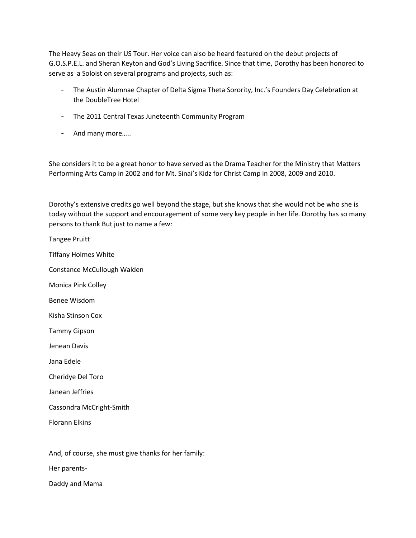The Heavy Seas on their US Tour. Her voice can also be heard featured on the debut projects of G.O.S.P.E.L. and Sheran Keyton and God's Living Sacrifice. Since that time, Dorothy has been honored to serve as a Soloist on several programs and projects, such as:

- The Austin Alumnae Chapter of Delta Sigma Theta Sorority, Inc.'s Founders Day Celebration at the DoubleTree Hotel
- The 2011 Central Texas Juneteenth Community Program
- And many more…..

She considers it to be a great honor to have served as the Drama Teacher for the Ministry that Matters Performing Arts Camp in 2002 and for Mt. Sinai's Kidz for Christ Camp in 2008, 2009 and 2010.

Dorothy's extensive credits go well beyond the stage, but she knows that she would not be who she is today without the support and encouragement of some very key people in her life. Dorothy has so many persons to thank But just to name a few:

Tangee Pruitt Tiffany Holmes White Constance McCullough Walden Monica Pink Colley Benee Wisdom Kisha Stinson Cox Tammy Gipson Jenean Davis Jana Edele Cheridye Del Toro Janean Jeffries Cassondra McCright-Smith Florann Elkins

And, of course, she must give thanks for her family:

Her parents-

Daddy and Mama